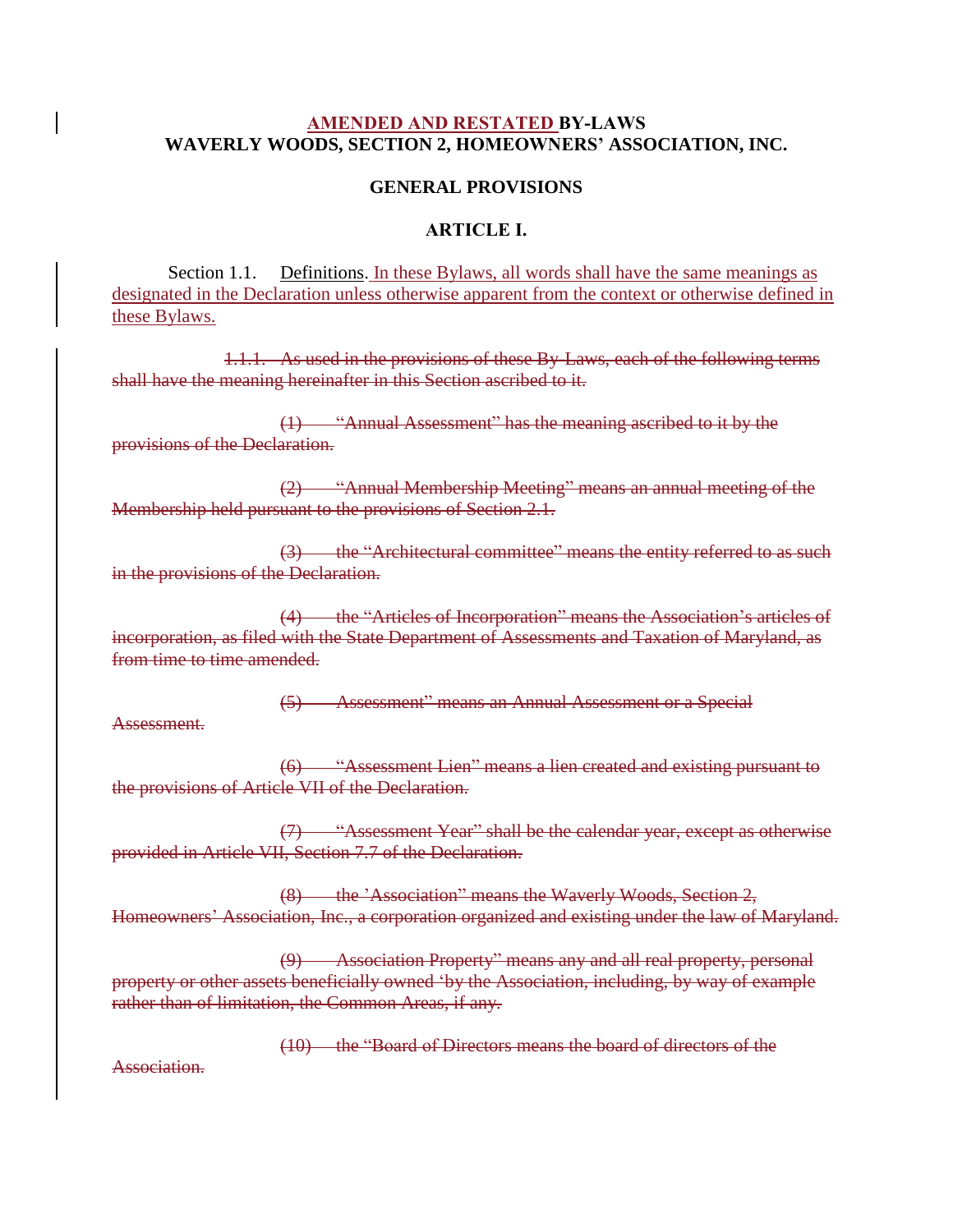## **AMENDED AND RESTATED BY-LAWS WAVERLY WOODS, SECTION 2, HOMEOWNERS' ASSOCIATION, INC.**

# **GENERAL PROVISIONS**

#### **ARTICLE I.**

Section 1.1. Definitions. In these Bylaws, all words shall have the same meanings as designated in the Declaration unless otherwise apparent from the context or otherwise defined in these Bylaws.

1.1.1. As used in the provisions of these By-Laws, each of the following terms shall have the meaning hereinafter in this Section ascribed to it.

(1) "Annual Assessment" has the meaning ascribed to it by the provisions of the Declaration.

(2) "Annual Membership Meeting" means an annual meeting of the Membership held pursuant to the provisions of Section 2.1.

(3) the "Architectural committee" means the entity referred to as such in the provisions of the Declaration.

(4) the "Articles of Incorporation" means the Association's articles of incorporation, as filed with the State Department of Assessments and Taxation of Maryland, as from time to time amended.

(5) Assessment" means an Annual Assessment or a Special

Assessment.

(6) "Assessment Lien" means a lien created and existing pursuant to the provisions of Article VII of the Declaration.

(7) "Assessment Year" shall be the calendar year, except as otherwise provided in Article VII, Section 7.7 of the Declaration.

(8) the 'Association" means the Waverly Woods, Section 2, Homeowners' Association, Inc., a corporation organized and existing under the law of Maryland.

(9) Association Property" means any and all real property, personal property or other assets beneficially owned 'by the Association, including, by way of example rather than of limitation, the Common Areas, if any.

(10) the "Board of Directors means the board of directors of the

Association.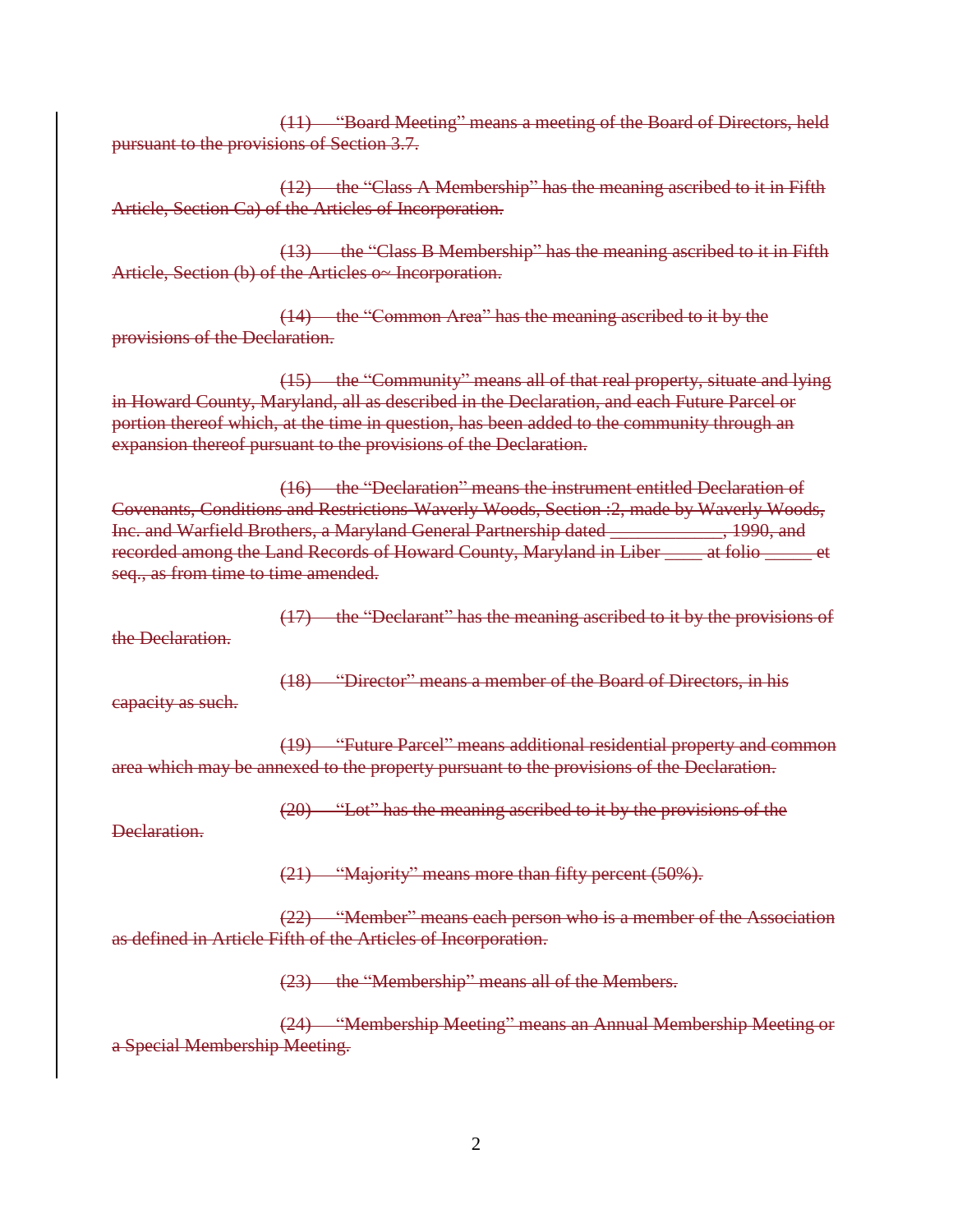(11) "Board Meeting" means a meeting of the Board of Directors, held pursuant to the provisions of Section 3.7.

(12) the "Class A Membership" has the meaning ascribed to it in Fifth Article, Section Ca) of the Articles of Incorporation.

(13) the "Class B Membership" has the meaning ascribed to it in Fifth Article, Section (b) of the Articles o~ Incorporation.

(14) the "Common Area" has the meaning ascribed to it by the provisions of the Declaration.

(15) the "Community" means all of that real property, situate and lying in Howard County, Maryland, all as described in the Declaration, and each Future Parcel or portion thereof which, at the time in question, has been added to the community through an expansion thereof pursuant to the provisions of the Declaration.

(16) the "Declaration" means the instrument entitled Declaration of Covenants, Conditions and Restrictions-Waverly Woods, Section :2, made by Waverly Woods, Inc. and Warfield Brothers, a Maryland General Partnership dated \_\_\_\_\_\_\_\_\_\_\_\_, 1990, and recorded among the Land Records of Howard County, Maryland in Liber \_\_\_\_ at folio \_\_\_\_\_ et seq., as from time to time amended.

(17) the "Declarant" has the meaning ascribed to it by the provisions of the Declaration.

(18) "Director" means a member of the Board of Directors, in his

capacity as such.

(19) "Future Parcel" means additional residential property and common area which may be annexed to the property pursuant to the provisions of the Declaration.

(20) "Lot" has the meaning ascribed to it by the provisions of the

Declaration.

(21) "Majority" means more than fifty percent (50%).

(22) "Member" means each person who is a member of the Association as defined in Article Fifth of the Articles of Incorporation.

(23) the "Membership" means all of the Members.

(24) "Membership Meeting" means an Annual Membership Meeting or a Special Membership Meeting.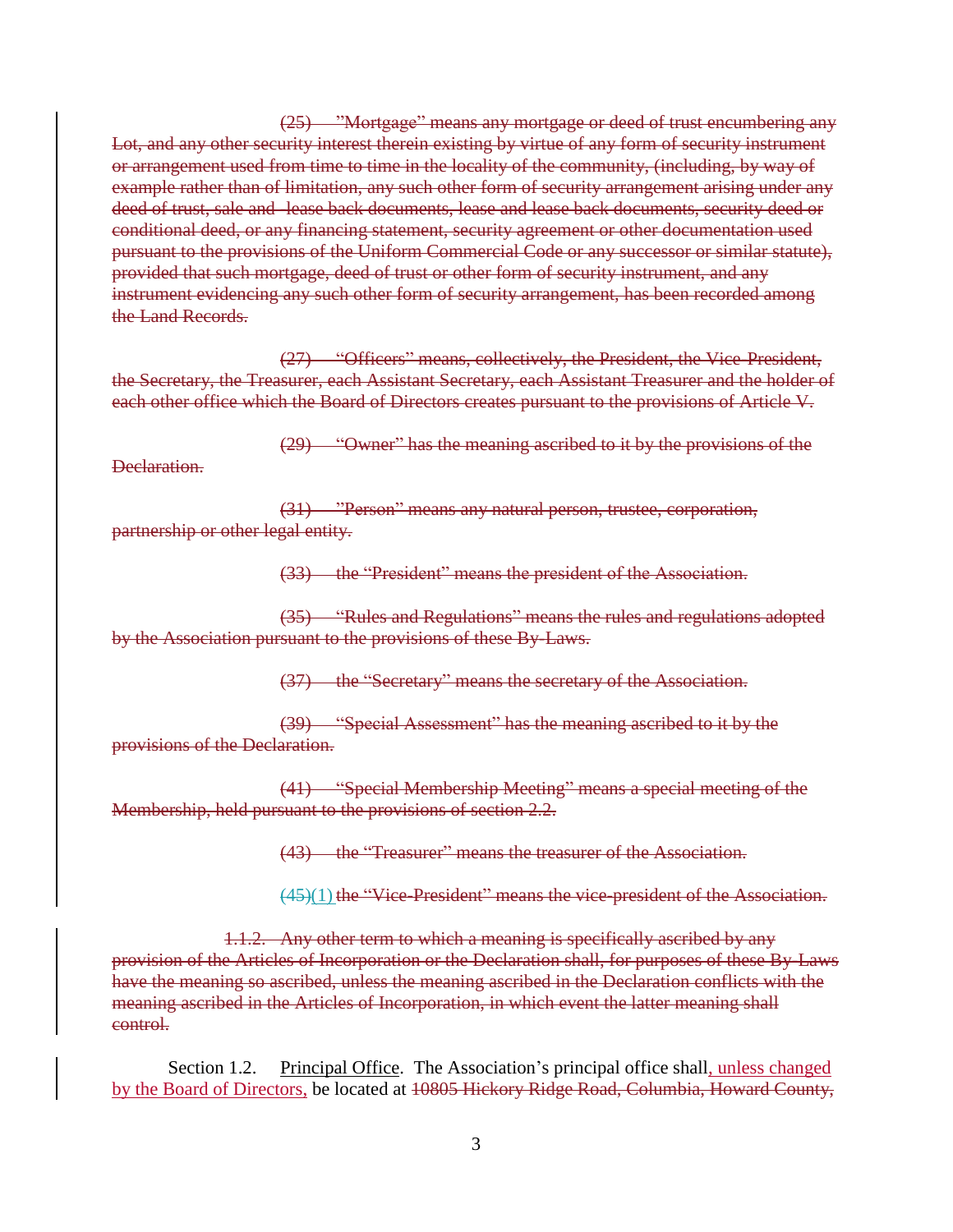(25) "Mortgage" means any mortgage or deed of trust encumbering any Lot, and any other security interest therein existing by virtue of any form of security instrument or arrangement used from time to time in the locality of the community, (including, by way of example rather than of limitation, any such other form of security arrangement arising under any deed of trust, sale and -lease back documents, lease and lease back documents, security deed or conditional deed, or any financing statement, security agreement or other documentation used pursuant to the provisions of the Uniform Commercial Code or any successor or similar statute), provided that such mortgage, deed of trust or other form of security instrument, and any instrument evidencing any such other form of security arrangement, has been recorded among the Land Records.

(27) "Officers" means, collectively, the President, the Vice-President, the Secretary, the Treasurer, each Assistant Secretary, each Assistant Treasurer and the holder of each other office which the Board of Directors creates pursuant to the provisions of Article V.

(29) "Owner" has the meaning ascribed to it by the provisions of the

Declaration.

(31) "Person" means any natural person, trustee, corporation, partnership or other legal entity.

(33) the "President" means the president of the Association.

(35) "Rules and Regulations" means the rules and regulations adopted by the Association pursuant to the provisions of these By-Laws.

(37) the "Secretary" means the secretary of the Association.

(39) "Special Assessment" has the meaning ascribed to it by the provisions of the Declaration.

(41) "Special Membership Meeting" means a special meeting of the Membership, held pursuant to the provisions of section 2.2.

(43) the "Treasurer" means the treasurer of the Association.

 $(45)(1)$  the "Vice-President" means the vice-president of the Association.

1.1.2. Any other term to which a meaning is specifically ascribed by any provision of the Articles of Incorporation or the Declaration shall, for purposes of these By-Laws have the meaning so ascribed, unless the meaning ascribed in the Declaration conflicts with the meaning ascribed in the Articles of Incorporation, in which event the latter meaning shall control.

Section 1.2. Principal Office. The Association's principal office shall, unless changed by the Board of Directors, be located at 10805 Hickory Ridge Road, Columbia, Howard County,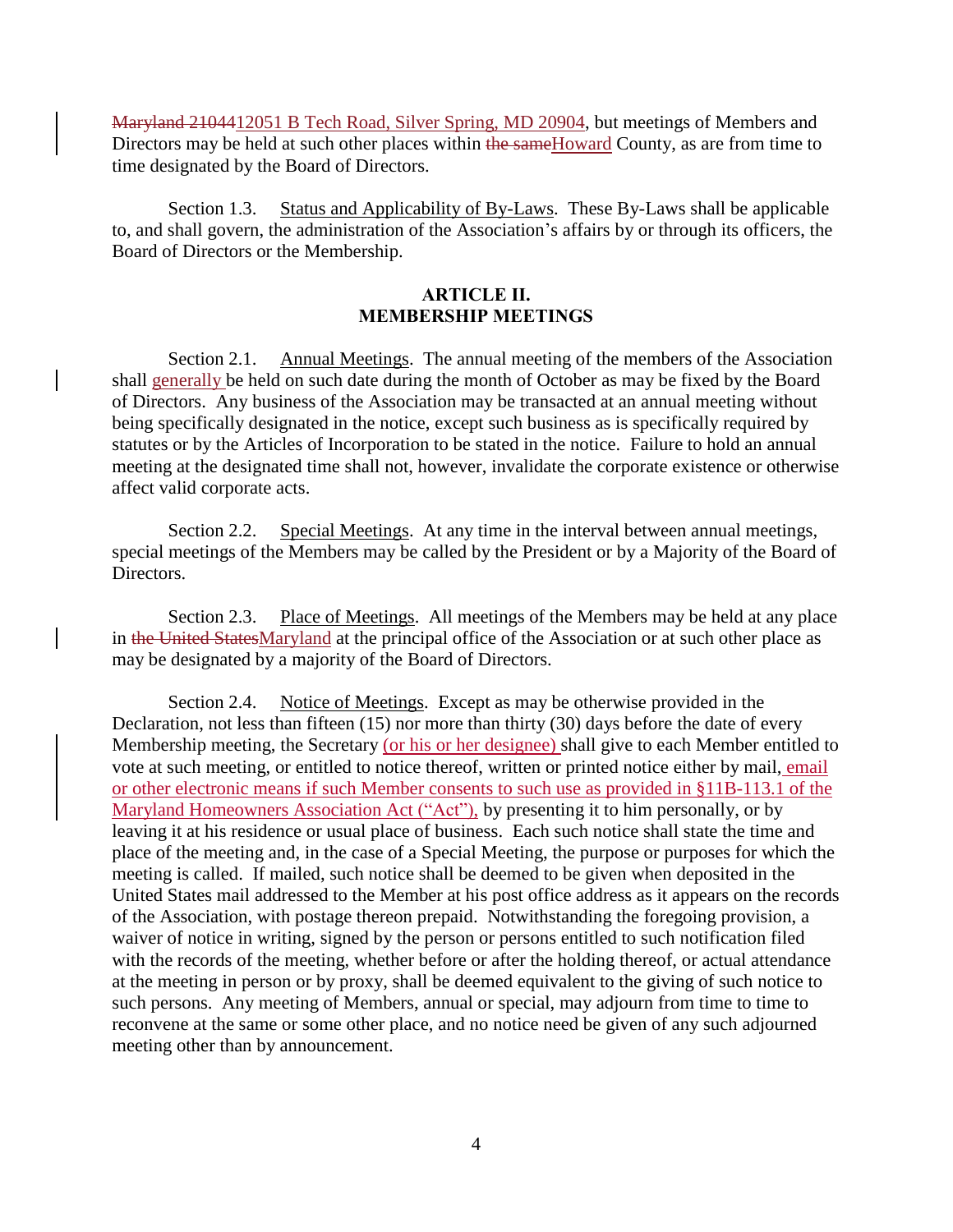Maryland 2104412051 B Tech Road, Silver Spring, MD 20904, but meetings of Members and Directors may be held at such other places within the same Howard County, as are from time to time designated by the Board of Directors.

Section 1.3. Status and Applicability of By-Laws. These By-Laws shall be applicable to, and shall govern, the administration of the Association's affairs by or through its officers, the Board of Directors or the Membership.

### **ARTICLE II. MEMBERSHIP MEETINGS**

Section 2.1. Annual Meetings. The annual meeting of the members of the Association shall generally be held on such date during the month of October as may be fixed by the Board of Directors. Any business of the Association may be transacted at an annual meeting without being specifically designated in the notice, except such business as is specifically required by statutes or by the Articles of Incorporation to be stated in the notice. Failure to hold an annual meeting at the designated time shall not, however, invalidate the corporate existence or otherwise affect valid corporate acts.

Section 2.2. Special Meetings. At any time in the interval between annual meetings, special meetings of the Members may be called by the President or by a Majority of the Board of Directors.

Section 2.3. Place of Meetings. All meetings of the Members may be held at any place in the United StatesMaryland at the principal office of the Association or at such other place as may be designated by a majority of the Board of Directors.

Section 2.4. Notice of Meetings. Except as may be otherwise provided in the Declaration, not less than fifteen (15) nor more than thirty (30) days before the date of every Membership meeting, the Secretary (or his or her designee) shall give to each Member entitled to vote at such meeting, or entitled to notice thereof, written or printed notice either by mail, email or other electronic means if such Member consents to such use as provided in §11B-113.1 of the Maryland Homeowners Association Act ("Act"), by presenting it to him personally, or by leaving it at his residence or usual place of business. Each such notice shall state the time and place of the meeting and, in the case of a Special Meeting, the purpose or purposes for which the meeting is called. If mailed, such notice shall be deemed to be given when deposited in the United States mail addressed to the Member at his post office address as it appears on the records of the Association, with postage thereon prepaid. Notwithstanding the foregoing provision, a waiver of notice in writing, signed by the person or persons entitled to such notification filed with the records of the meeting, whether before or after the holding thereof, or actual attendance at the meeting in person or by proxy, shall be deemed equivalent to the giving of such notice to such persons. Any meeting of Members, annual or special, may adjourn from time to time to reconvene at the same or some other place, and no notice need be given of any such adjourned meeting other than by announcement.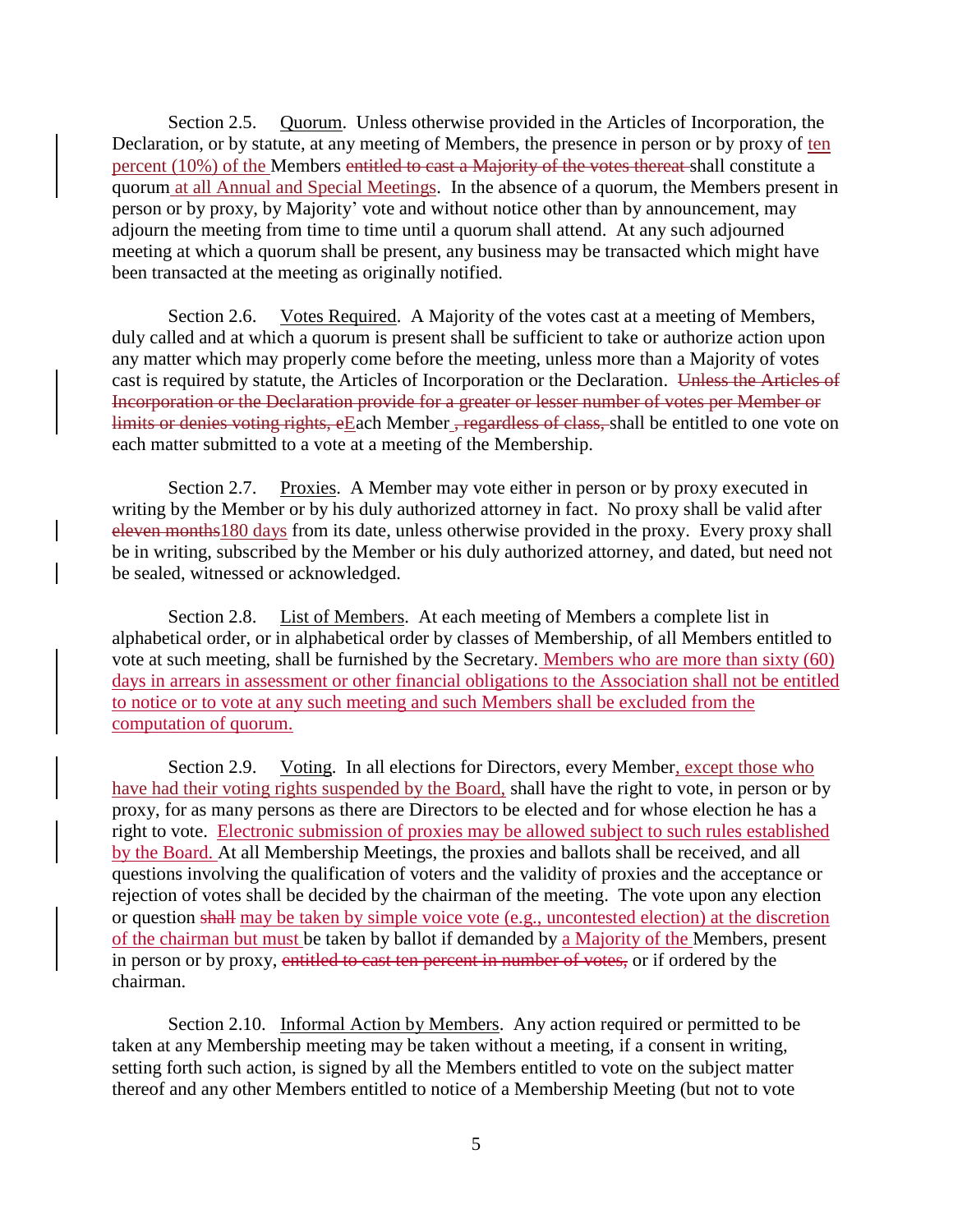Section 2.5. Quorum. Unless otherwise provided in the Articles of Incorporation, the Declaration, or by statute, at any meeting of Members, the presence in person or by proxy of ten percent (10%) of the Members entitled to cast a Majority of the votes thereat shall constitute a quorum at all Annual and Special Meetings. In the absence of a quorum, the Members present in person or by proxy, by Majority' vote and without notice other than by announcement, may adjourn the meeting from time to time until a quorum shall attend. At any such adjourned meeting at which a quorum shall be present, any business may be transacted which might have been transacted at the meeting as originally notified.

Section 2.6. Votes Required. A Majority of the votes cast at a meeting of Members, duly called and at which a quorum is present shall be sufficient to take or authorize action upon any matter which may properly come before the meeting, unless more than a Majority of votes cast is required by statute, the Articles of Incorporation or the Declaration. Unless the Articles of Incorporation or the Declaration provide for a greater or lesser number of votes per Member or limits or denies voting rights, eEach Member, regardless of class, shall be entitled to one vote on each matter submitted to a vote at a meeting of the Membership.

Section 2.7. Proxies. A Member may vote either in person or by proxy executed in writing by the Member or by his duly authorized attorney in fact. No proxy shall be valid after eleven months180 days from its date, unless otherwise provided in the proxy. Every proxy shall be in writing, subscribed by the Member or his duly authorized attorney, and dated, but need not be sealed, witnessed or acknowledged.

Section 2.8. List of Members. At each meeting of Members a complete list in alphabetical order, or in alphabetical order by classes of Membership, of all Members entitled to vote at such meeting, shall be furnished by the Secretary. Members who are more than sixty (60) days in arrears in assessment or other financial obligations to the Association shall not be entitled to notice or to vote at any such meeting and such Members shall be excluded from the computation of quorum.

Section 2.9. Voting. In all elections for Directors, every Member, except those who have had their voting rights suspended by the Board, shall have the right to vote, in person or by proxy, for as many persons as there are Directors to be elected and for whose election he has a right to vote. Electronic submission of proxies may be allowed subject to such rules established by the Board. At all Membership Meetings, the proxies and ballots shall be received, and all questions involving the qualification of voters and the validity of proxies and the acceptance or rejection of votes shall be decided by the chairman of the meeting. The vote upon any election or question shall may be taken by simple voice vote (e.g., uncontested election) at the discretion of the chairman but must be taken by ballot if demanded by a Majority of the Members, present in person or by proxy, entitled to cast ten percent in number of votes, or if ordered by the chairman.

Section 2.10. Informal Action by Members. Any action required or permitted to be taken at any Membership meeting may be taken without a meeting, if a consent in writing, setting forth such action, is signed by all the Members entitled to vote on the subject matter thereof and any other Members entitled to notice of a Membership Meeting (but not to vote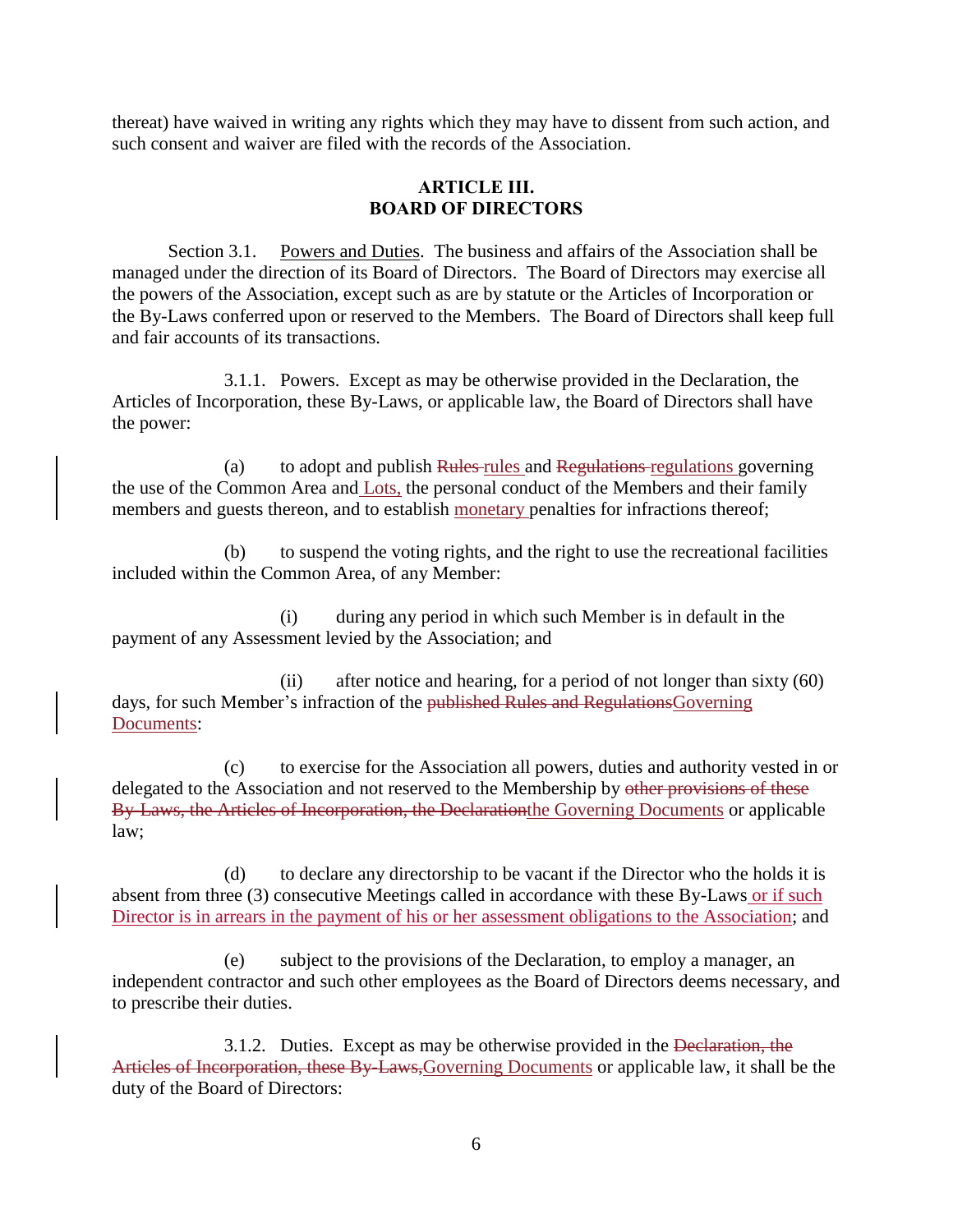thereat) have waived in writing any rights which they may have to dissent from such action, and such consent and waiver are filed with the records of the Association.

# **ARTICLE III. BOARD OF DIRECTORS**

Section 3.1. Powers and Duties. The business and affairs of the Association shall be managed under the direction of its Board of Directors. The Board of Directors may exercise all the powers of the Association, except such as are by statute or the Articles of Incorporation or the By-Laws conferred upon or reserved to the Members. The Board of Directors shall keep full and fair accounts of its transactions.

3.1.1. Powers. Except as may be otherwise provided in the Declaration, the Articles of Incorporation, these By-Laws, or applicable law, the Board of Directors shall have the power:

(a) to adopt and publish Rules rules and Regulations regulations governing the use of the Common Area and Lots, the personal conduct of the Members and their family members and guests thereon, and to establish monetary penalties for infractions thereof;

(b) to suspend the voting rights, and the right to use the recreational facilities included within the Common Area, of any Member:

(i) during any period in which such Member is in default in the payment of any Assessment levied by the Association; and

(ii) after notice and hearing, for a period of not longer than sixty (60) days, for such Member's infraction of the published Rules and RegulationsGoverning Documents:

(c) to exercise for the Association all powers, duties and authority vested in or delegated to the Association and not reserved to the Membership by other provisions of these By-Laws, the Articles of Incorporation, the Declarationthe Governing Documents or applicable law;

(d) to declare any directorship to be vacant if the Director who the holds it is absent from three (3) consecutive Meetings called in accordance with these By-Laws or if such Director is in arrears in the payment of his or her assessment obligations to the Association; and

(e) subject to the provisions of the Declaration, to employ a manager, an independent contractor and such other employees as the Board of Directors deems necessary, and to prescribe their duties.

3.1.2. Duties. Except as may be otherwise provided in the Declaration, the Articles of Incorporation, these By-Laws,Governing Documents or applicable law, it shall be the duty of the Board of Directors: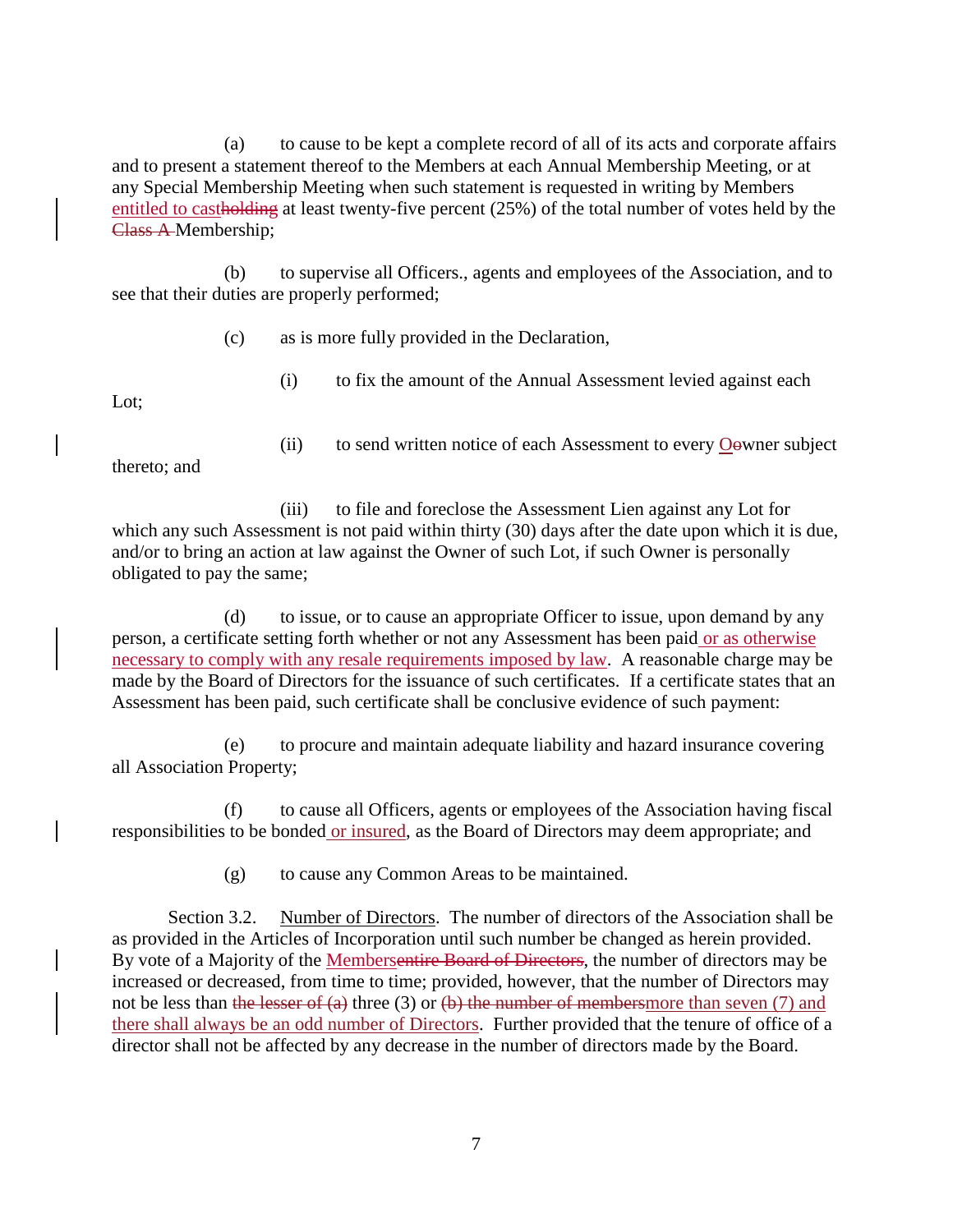(a) to cause to be kept a complete record of all of its acts and corporate affairs and to present a statement thereof to the Members at each Annual Membership Meeting, or at any Special Membership Meeting when such statement is requested in writing by Members entitled to castholding at least twenty-five percent (25%) of the total number of votes held by the Class A Membership;

(b) to supervise all Officers., agents and employees of the Association, and to see that their duties are properly performed;

(c) as is more fully provided in the Declaration,

(i) to fix the amount of the Annual Assessment levied against each

Lot;

thereto; and

(ii) to send written notice of each Assessment to every Oowner subject

(iii) to file and foreclose the Assessment Lien against any Lot for which any such Assessment is not paid within thirty (30) days after the date upon which it is due, and/or to bring an action at law against the Owner of such Lot, if such Owner is personally obligated to pay the same;

(d) to issue, or to cause an appropriate Officer to issue, upon demand by any person, a certificate setting forth whether or not any Assessment has been paid or as otherwise necessary to comply with any resale requirements imposed by law. A reasonable charge may be made by the Board of Directors for the issuance of such certificates. If a certificate states that an Assessment has been paid, such certificate shall be conclusive evidence of such payment:

(e) to procure and maintain adequate liability and hazard insurance covering all Association Property;

(f) to cause all Officers, agents or employees of the Association having fiscal responsibilities to be bonded or insured, as the Board of Directors may deem appropriate; and

(g) to cause any Common Areas to be maintained.

Section 3.2. Number of Directors. The number of directors of the Association shall be as provided in the Articles of Incorporation until such number be changed as herein provided. By vote of a Majority of the Membersentire Board of Directors, the number of directors may be increased or decreased, from time to time; provided, however, that the number of Directors may not be less than the lesser of (a) three (3) or (b) the number of membersmore than seven (7) and there shall always be an odd number of Directors. Further provided that the tenure of office of a director shall not be affected by any decrease in the number of directors made by the Board.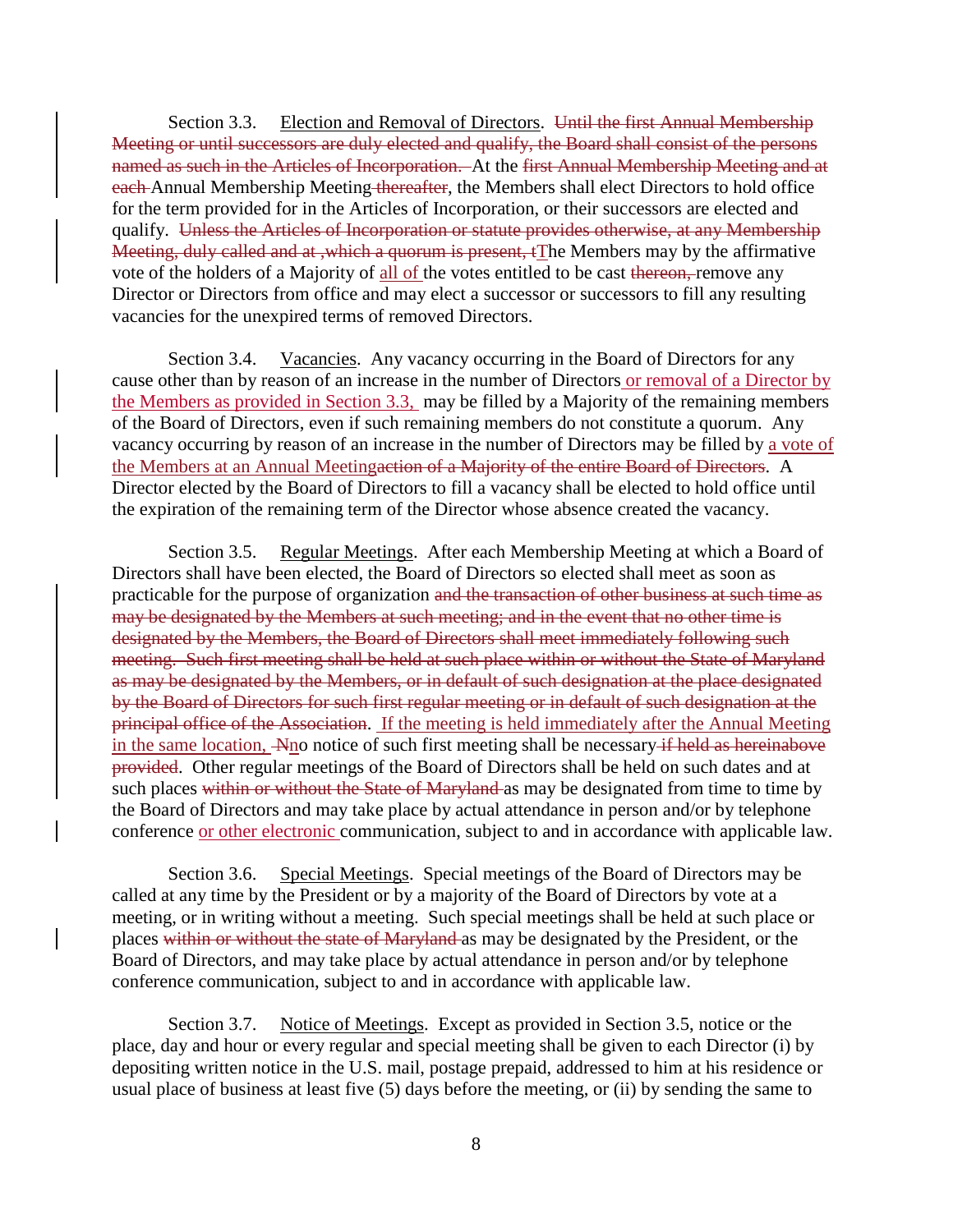Section 3.3. Election and Removal of Directors. Until the first Annual Membership Meeting or until successors are duly elected and qualify, the Board shall consist of the persons named as such in the Articles of Incorporation. At the first Annual Membership Meeting and at each Annual Membership Meeting thereafter, the Members shall elect Directors to hold office for the term provided for in the Articles of Incorporation, or their successors are elected and qualify. Unless the Articles of Incorporation or statute provides otherwise, at any Membership Meeting, duly called and at ,which a quorum is present, tThe Members may by the affirmative vote of the holders of a Majority of all of the votes entitled to be cast thereon, remove any Director or Directors from office and may elect a successor or successors to fill any resulting vacancies for the unexpired terms of removed Directors.

Section 3.4. Vacancies. Any vacancy occurring in the Board of Directors for any cause other than by reason of an increase in the number of Directors or removal of a Director by the Members as provided in Section 3.3, may be filled by a Majority of the remaining members of the Board of Directors, even if such remaining members do not constitute a quorum. Any vacancy occurring by reason of an increase in the number of Directors may be filled by a vote of the Members at an Annual Meetingaction of a Majority of the entire Board of Directors. A Director elected by the Board of Directors to fill a vacancy shall be elected to hold office until the expiration of the remaining term of the Director whose absence created the vacancy.

Section 3.5. Regular Meetings. After each Membership Meeting at which a Board of Directors shall have been elected, the Board of Directors so elected shall meet as soon as practicable for the purpose of organization and the transaction of other business at such time as may be designated by the Members at such meeting; and in the event that no other time is designated by the Members, the Board of Directors shall meet immediately following such meeting. Such first meeting shall be held at such place within or without the State of Maryland as may be designated by the Members, or in default of such designation at the place designated by the Board of Directors for such first regular meeting or in default of such designation at the principal office of the Association. If the meeting is held immediately after the Annual Meeting in the same location, Ano notice of such first meeting shall be necessary if held as hereinabove provided. Other regular meetings of the Board of Directors shall be held on such dates and at such places within or without the State of Maryland as may be designated from time to time by the Board of Directors and may take place by actual attendance in person and/or by telephone conference or other electronic communication, subject to and in accordance with applicable law.

Section 3.6. Special Meetings. Special meetings of the Board of Directors may be called at any time by the President or by a majority of the Board of Directors by vote at a meeting, or in writing without a meeting. Such special meetings shall be held at such place or places within or without the state of Maryland as may be designated by the President, or the Board of Directors, and may take place by actual attendance in person and/or by telephone conference communication, subject to and in accordance with applicable law.

Section 3.7. Notice of Meetings. Except as provided in Section 3.5, notice or the place, day and hour or every regular and special meeting shall be given to each Director (i) by depositing written notice in the U.S. mail, postage prepaid, addressed to him at his residence or usual place of business at least five (5) days before the meeting, or (ii) by sending the same to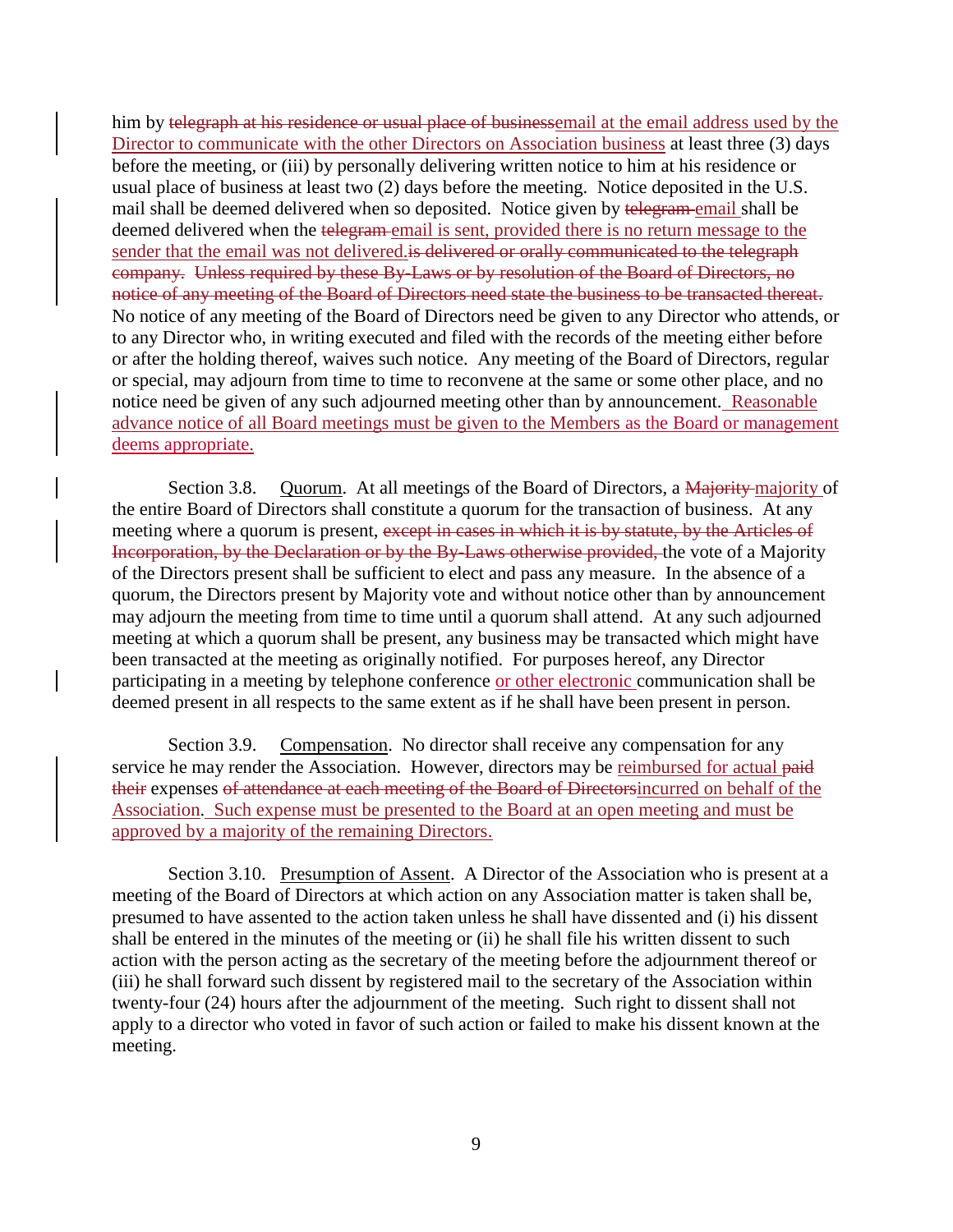him by telegraph at his residence or usual place of businessemail at the email address used by the Director to communicate with the other Directors on Association business at least three (3) days before the meeting, or (iii) by personally delivering written notice to him at his residence or usual place of business at least two (2) days before the meeting. Notice deposited in the U.S. mail shall be deemed delivered when so deposited. Notice given by telegram email shall be deemed delivered when the telegram-email is sent, provided there is no return message to the sender that the email was not delivered is delivered or orally communicated to the telegraph company. Unless required by these By-Laws or by resolution of the Board of Directors, no notice of any meeting of the Board of Directors need state the business to be transacted thereat. No notice of any meeting of the Board of Directors need be given to any Director who attends, or to any Director who, in writing executed and filed with the records of the meeting either before or after the holding thereof, waives such notice. Any meeting of the Board of Directors, regular or special, may adjourn from time to time to reconvene at the same or some other place, and no notice need be given of any such adjourned meeting other than by announcement. Reasonable advance notice of all Board meetings must be given to the Members as the Board or management deems appropriate.

Section 3.8. Quorum. At all meetings of the Board of Directors, a Majority-majority of the entire Board of Directors shall constitute a quorum for the transaction of business. At any meeting where a quorum is present, except in cases in which it is by statute, by the Articles of Incorporation, by the Declaration or by the By-Laws otherwise provided, the vote of a Majority of the Directors present shall be sufficient to elect and pass any measure. In the absence of a quorum, the Directors present by Majority vote and without notice other than by announcement may adjourn the meeting from time to time until a quorum shall attend. At any such adjourned meeting at which a quorum shall be present, any business may be transacted which might have been transacted at the meeting as originally notified. For purposes hereof, any Director participating in a meeting by telephone conference or other electronic communication shall be deemed present in all respects to the same extent as if he shall have been present in person.

Section 3.9. Compensation. No director shall receive any compensation for any service he may render the Association. However, directors may be reimbursed for actual paid their expenses of attendance at each meeting of the Board of Directorsincurred on behalf of the Association. Such expense must be presented to the Board at an open meeting and must be approved by a majority of the remaining Directors.

Section 3.10. Presumption of Assent. A Director of the Association who is present at a meeting of the Board of Directors at which action on any Association matter is taken shall be, presumed to have assented to the action taken unless he shall have dissented and (i) his dissent shall be entered in the minutes of the meeting or (ii) he shall file his written dissent to such action with the person acting as the secretary of the meeting before the adjournment thereof or (iii) he shall forward such dissent by registered mail to the secretary of the Association within twenty-four (24) hours after the adjournment of the meeting. Such right to dissent shall not apply to a director who voted in favor of such action or failed to make his dissent known at the meeting.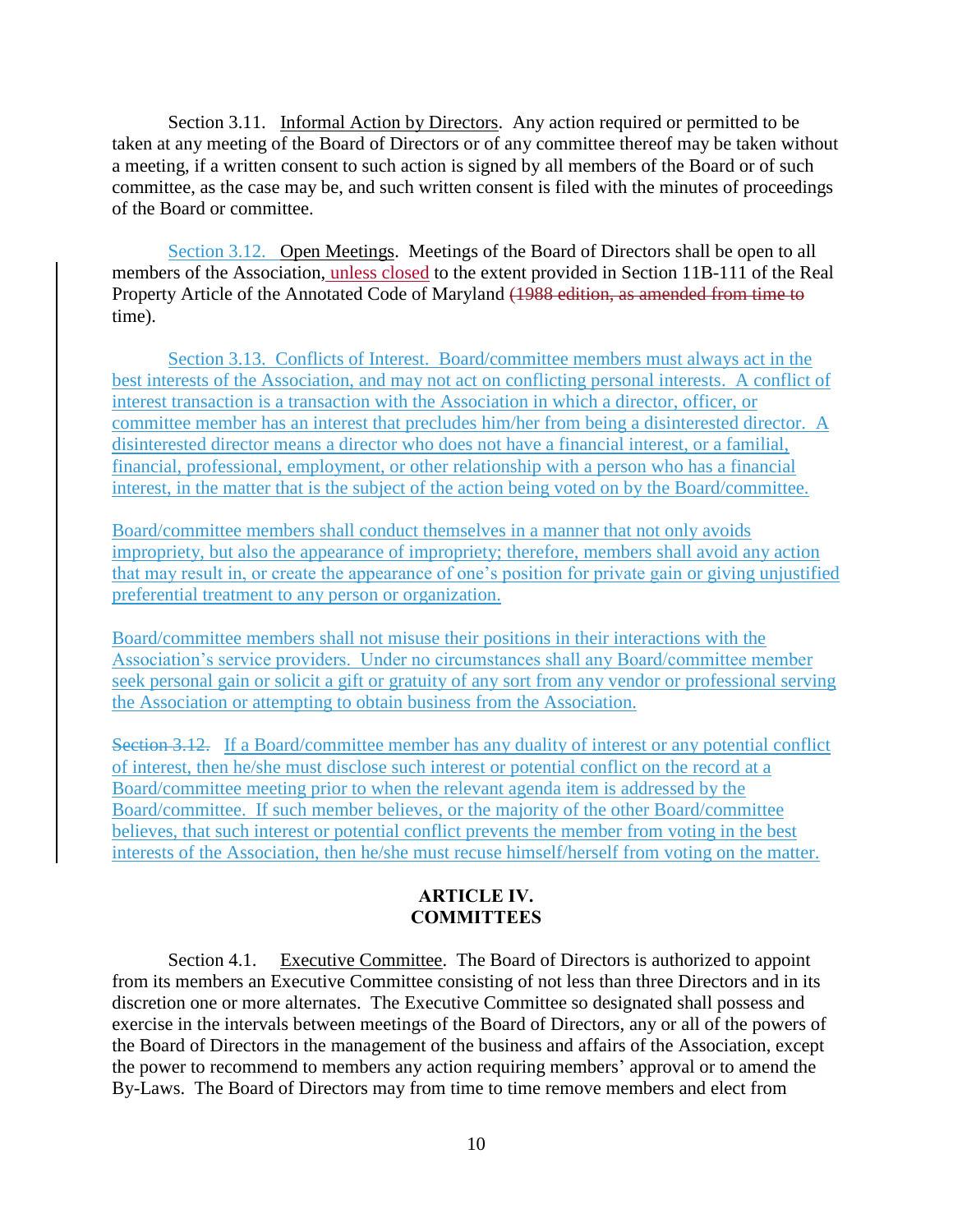Section 3.11. Informal Action by Directors. Any action required or permitted to be taken at any meeting of the Board of Directors or of any committee thereof may be taken without a meeting, if a written consent to such action is signed by all members of the Board or of such committee, as the case may be, and such written consent is filed with the minutes of proceedings of the Board or committee.

Section 3.12. Open Meetings. Meetings of the Board of Directors shall be open to all members of the Association, unless closed to the extent provided in Section 11B-111 of the Real Property Article of the Annotated Code of Maryland (1988 edition, as amended from time to time).

Section 3.13. Conflicts of Interest. Board/committee members must always act in the best interests of the Association, and may not act on conflicting personal interests. A conflict of interest transaction is a transaction with the Association in which a director, officer, or committee member has an interest that precludes him/her from being a disinterested director. A disinterested director means a director who does not have a financial interest, or a familial, financial, professional, employment, or other relationship with a person who has a financial interest, in the matter that is the subject of the action being voted on by the Board/committee.

Board/committee members shall conduct themselves in a manner that not only avoids impropriety, but also the appearance of impropriety; therefore, members shall avoid any action that may result in, or create the appearance of one's position for private gain or giving unjustified preferential treatment to any person or organization.

Board/committee members shall not misuse their positions in their interactions with the Association's service providers. Under no circumstances shall any Board/committee member seek personal gain or solicit a gift or gratuity of any sort from any vendor or professional serving the Association or attempting to obtain business from the Association.

Section 3.12. If a Board/committee member has any duality of interest or any potential conflict of interest, then he/she must disclose such interest or potential conflict on the record at a Board/committee meeting prior to when the relevant agenda item is addressed by the Board/committee. If such member believes, or the majority of the other Board/committee believes, that such interest or potential conflict prevents the member from voting in the best interests of the Association, then he/she must recuse himself/herself from voting on the matter.

### **ARTICLE IV. COMMITTEES**

Section 4.1. Executive Committee. The Board of Directors is authorized to appoint from its members an Executive Committee consisting of not less than three Directors and in its discretion one or more alternates. The Executive Committee so designated shall possess and exercise in the intervals between meetings of the Board of Directors, any or all of the powers of the Board of Directors in the management of the business and affairs of the Association, except the power to recommend to members any action requiring members' approval or to amend the By-Laws. The Board of Directors may from time to time remove members and elect from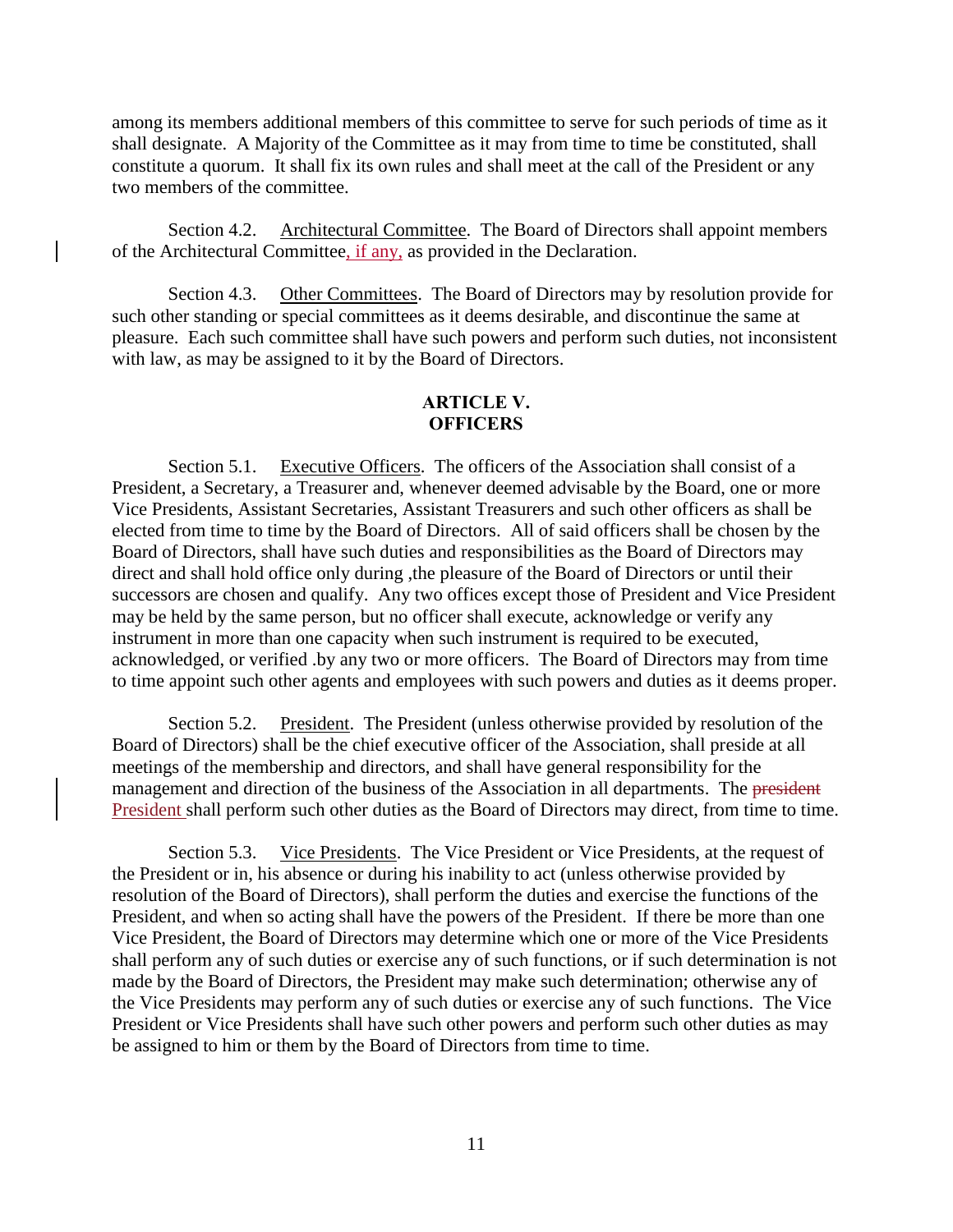among its members additional members of this committee to serve for such periods of time as it shall designate. A Majority of the Committee as it may from time to time be constituted, shall constitute a quorum. It shall fix its own rules and shall meet at the call of the President or any two members of the committee.

Section 4.2. Architectural Committee. The Board of Directors shall appoint members of the Architectural Committee, if any, as provided in the Declaration.

Section 4.3. Other Committees. The Board of Directors may by resolution provide for such other standing or special committees as it deems desirable, and discontinue the same at pleasure. Each such committee shall have such powers and perform such duties, not inconsistent with law, as may be assigned to it by the Board of Directors.

# **ARTICLE V. OFFICERS**

Section 5.1. Executive Officers. The officers of the Association shall consist of a President, a Secretary, a Treasurer and, whenever deemed advisable by the Board, one or more Vice Presidents, Assistant Secretaries, Assistant Treasurers and such other officers as shall be elected from time to time by the Board of Directors. All of said officers shall be chosen by the Board of Directors, shall have such duties and responsibilities as the Board of Directors may direct and shall hold office only during ,the pleasure of the Board of Directors or until their successors are chosen and qualify. Any two offices except those of President and Vice President may be held by the same person, but no officer shall execute, acknowledge or verify any instrument in more than one capacity when such instrument is required to be executed, acknowledged, or verified .by any two or more officers. The Board of Directors may from time to time appoint such other agents and employees with such powers and duties as it deems proper.

Section 5.2. President. The President (unless otherwise provided by resolution of the Board of Directors) shall be the chief executive officer of the Association, shall preside at all meetings of the membership and directors, and shall have general responsibility for the management and direction of the business of the Association in all departments. The president President shall perform such other duties as the Board of Directors may direct, from time to time.

Section 5.3. Vice Presidents. The Vice President or Vice Presidents, at the request of the President or in, his absence or during his inability to act (unless otherwise provided by resolution of the Board of Directors), shall perform the duties and exercise the functions of the President, and when so acting shall have the powers of the President. If there be more than one Vice President, the Board of Directors may determine which one or more of the Vice Presidents shall perform any of such duties or exercise any of such functions, or if such determination is not made by the Board of Directors, the President may make such determination; otherwise any of the Vice Presidents may perform any of such duties or exercise any of such functions. The Vice President or Vice Presidents shall have such other powers and perform such other duties as may be assigned to him or them by the Board of Directors from time to time.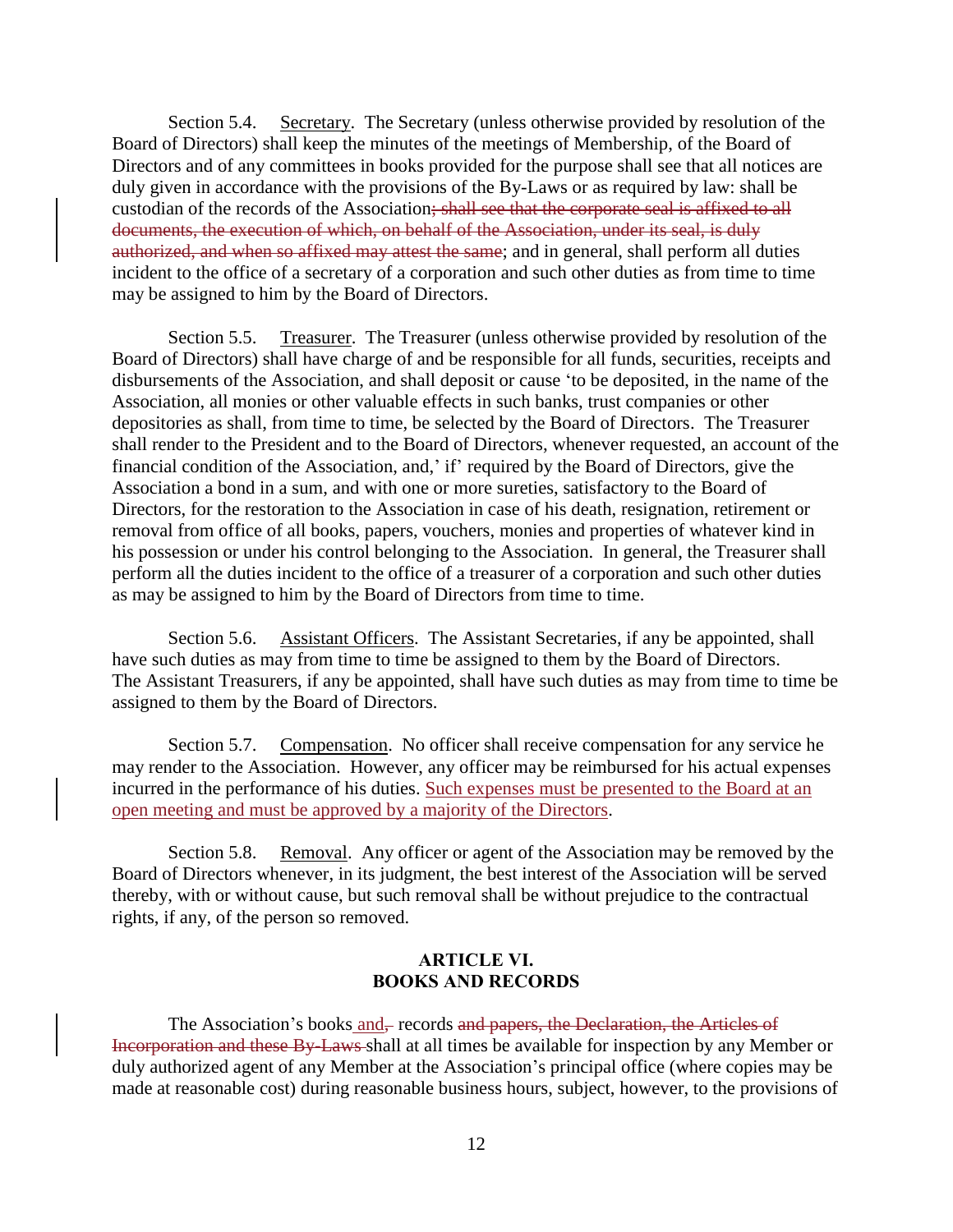Section 5.4. Secretary. The Secretary (unless otherwise provided by resolution of the Board of Directors) shall keep the minutes of the meetings of Membership, of the Board of Directors and of any committees in books provided for the purpose shall see that all notices are duly given in accordance with the provisions of the By-Laws or as required by law: shall be custodian of the records of the Association; shall see that the corporate seal is affixed to all documents, the execution of which, on behalf of the Association, under its seal, is duly authorized, and when so affixed may attest the same; and in general, shall perform all duties incident to the office of a secretary of a corporation and such other duties as from time to time may be assigned to him by the Board of Directors.

Section 5.5. Treasurer. The Treasurer (unless otherwise provided by resolution of the Board of Directors) shall have charge of and be responsible for all funds, securities, receipts and disbursements of the Association, and shall deposit or cause 'to be deposited, in the name of the Association, all monies or other valuable effects in such banks, trust companies or other depositories as shall, from time to time, be selected by the Board of Directors. The Treasurer shall render to the President and to the Board of Directors, whenever requested, an account of the financial condition of the Association, and,' if' required by the Board of Directors, give the Association a bond in a sum, and with one or more sureties, satisfactory to the Board of Directors, for the restoration to the Association in case of his death, resignation, retirement or removal from office of all books, papers, vouchers, monies and properties of whatever kind in his possession or under his control belonging to the Association. In general, the Treasurer shall perform all the duties incident to the office of a treasurer of a corporation and such other duties as may be assigned to him by the Board of Directors from time to time.

Section 5.6. Assistant Officers. The Assistant Secretaries, if any be appointed, shall have such duties as may from time to time be assigned to them by the Board of Directors. The Assistant Treasurers, if any be appointed, shall have such duties as may from time to time be assigned to them by the Board of Directors.

Section 5.7. Compensation. No officer shall receive compensation for any service he may render to the Association. However, any officer may be reimbursed for his actual expenses incurred in the performance of his duties. Such expenses must be presented to the Board at an open meeting and must be approved by a majority of the Directors.

Section 5.8. Removal. Any officer or agent of the Association may be removed by the Board of Directors whenever, in its judgment, the best interest of the Association will be served thereby, with or without cause, but such removal shall be without prejudice to the contractual rights, if any, of the person so removed.

### **ARTICLE VI. BOOKS AND RECORDS**

The Association's books and–records and papers, the Declaration, the Articles of Incorporation and these By-Laws shall at all times be available for inspection by any Member or duly authorized agent of any Member at the Association's principal office (where copies may be made at reasonable cost) during reasonable business hours, subject, however, to the provisions of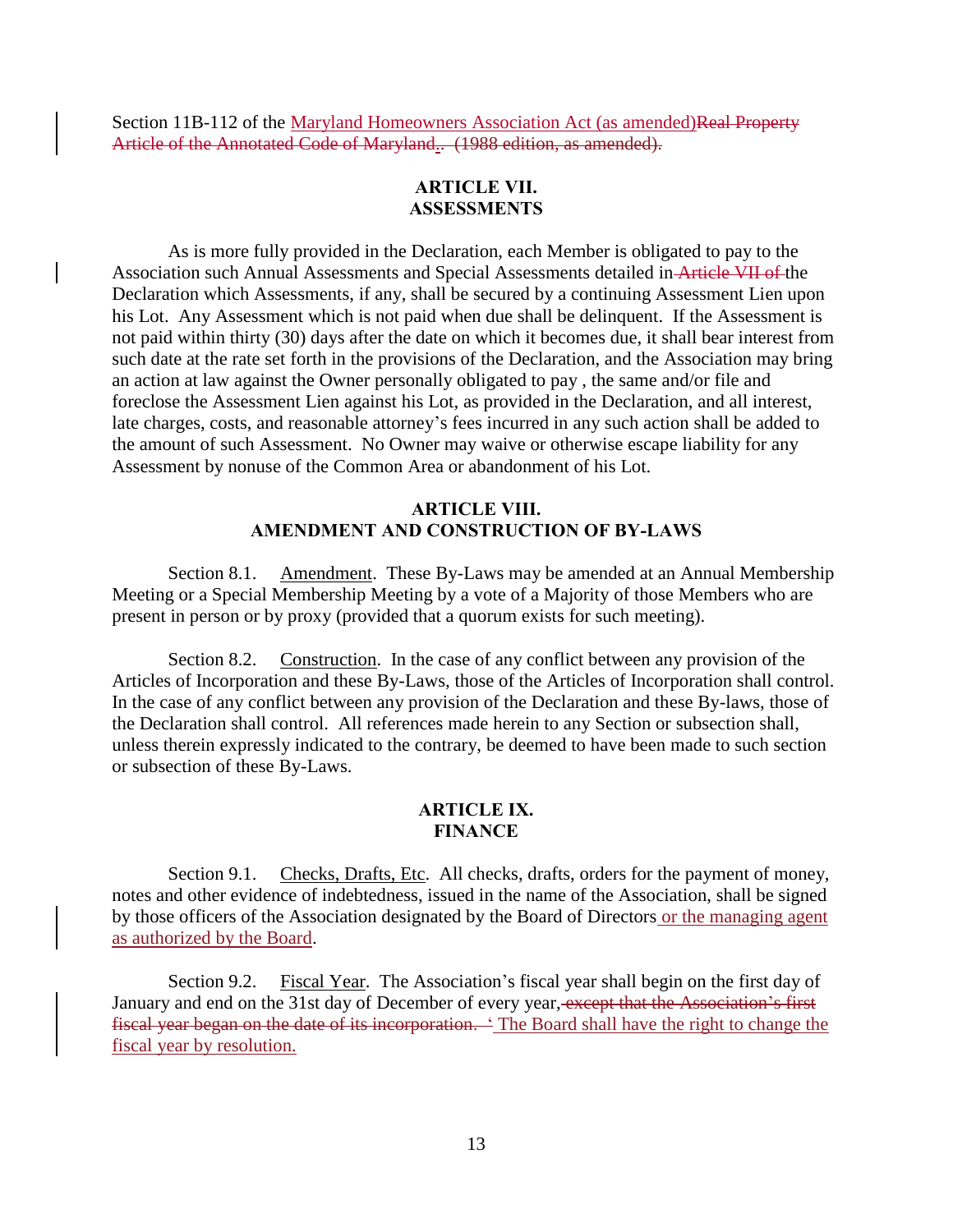Section 11B-112 of the Maryland Homeowners Association Act (as amended)Real Property Article of the Annotated Code of Maryland.. (1988 edition, as amended).

## **ARTICLE VII. ASSESSMENTS**

As is more fully provided in the Declaration, each Member is obligated to pay to the Association such Annual Assessments and Special Assessments detailed in Article VII of the Declaration which Assessments, if any, shall be secured by a continuing Assessment Lien upon his Lot. Any Assessment which is not paid when due shall be delinquent. If the Assessment is not paid within thirty (30) days after the date on which it becomes due, it shall bear interest from such date at the rate set forth in the provisions of the Declaration, and the Association may bring an action at law against the Owner personally obligated to pay , the same and/or file and foreclose the Assessment Lien against his Lot, as provided in the Declaration, and all interest, late charges, costs, and reasonable attorney's fees incurred in any such action shall be added to the amount of such Assessment. No Owner may waive or otherwise escape liability for any Assessment by nonuse of the Common Area or abandonment of his Lot.

## **ARTICLE VIII. AMENDMENT AND CONSTRUCTION OF BY-LAWS**

Section 8.1. Amendment. These By-Laws may be amended at an Annual Membership Meeting or a Special Membership Meeting by a vote of a Majority of those Members who are present in person or by proxy (provided that a quorum exists for such meeting).

Section 8.2. Construction. In the case of any conflict between any provision of the Articles of Incorporation and these By-Laws, those of the Articles of Incorporation shall control. In the case of any conflict between any provision of the Declaration and these By-laws, those of the Declaration shall control. All references made herein to any Section or subsection shall, unless therein expressly indicated to the contrary, be deemed to have been made to such section or subsection of these By-Laws.

## **ARTICLE IX. FINANCE**

Section 9.1. Checks, Drafts, Etc. All checks, drafts, orders for the payment of money, notes and other evidence of indebtedness, issued in the name of the Association, shall be signed by those officers of the Association designated by the Board of Directors or the managing agent as authorized by the Board.

Section 9.2. Fiscal Year. The Association's fiscal year shall begin on the first day of January and end on the 31st day of December of every year, except that the Association's first fiscal year began on the date of its incorporation. ' The Board shall have the right to change the fiscal year by resolution.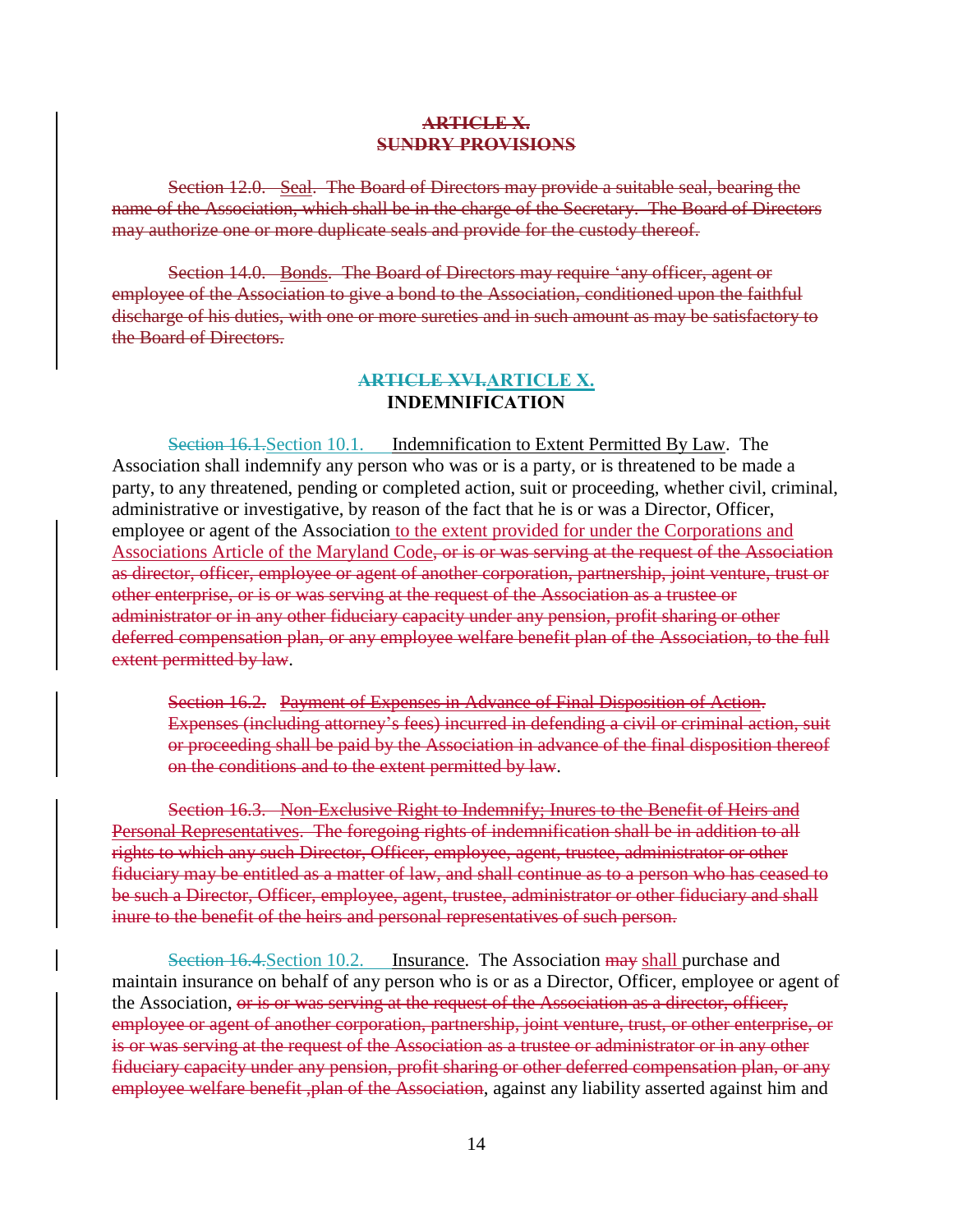#### **ARTICLE X. SUNDRY PROVISIONS**

Section 12.0. Seal. The Board of Directors may provide a suitable seal, bearing the name of the Association, which shall be in the charge of the Secretary. The Board of Directors may authorize one or more duplicate seals and provide for the custody thereof.

Section 14.0. Bonds. The Board of Directors may require 'any officer, agent or employee of the Association to give a bond to the Association, conditioned upon the faithful discharge of his duties, with one or more sureties and in such amount as may be satisfactory to the Board of Directors.

#### **ARTICLE XVI.ARTICLE X. INDEMNIFICATION**

Section 16.1. Section 10.1. Indemnification to Extent Permitted By Law. The Association shall indemnify any person who was or is a party, or is threatened to be made a party, to any threatened, pending or completed action, suit or proceeding, whether civil, criminal, administrative or investigative, by reason of the fact that he is or was a Director, Officer, employee or agent of the Association to the extent provided for under the Corporations and Associations Article of the Maryland Code, or is or was serving at the request of the Association as director, officer, employee or agent of another corporation, partnership, joint venture, trust or other enterprise, or is or was serving at the request of the Association as a trustee or administrator or in any other fiduciary capacity under any pension, profit sharing or other deferred compensation plan, or any employee welfare benefit plan of the Association, to the full extent permitted by law.

Section 16.2. Payment of Expenses in Advance of Final Disposition of Action. Expenses (including attorney's fees) incurred in defending a civil or criminal action, suit or proceeding shall be paid by the Association in advance of the final disposition thereof on the conditions and to the extent permitted by law.

Section 16.3. Non-Exclusive Right to Indemnify; Inures to the Benefit of Heirs and Personal Representatives. The foregoing rights of indemnification shall be in addition to all rights to which any such Director, Officer, employee, agent, trustee, administrator or other fiduciary may be entitled as a matter of law, and shall continue as to a person who has ceased to be such a Director, Officer, employee, agent, trustee, administrator or other fiduciary and shall inure to the benefit of the heirs and personal representatives of such person.

Section 16.4. Section 10.2. Insurance. The Association may shall purchase and maintain insurance on behalf of any person who is or as a Director, Officer, employee or agent of the Association, or is or was serving at the request of the Association as a director, officer, employee or agent of another corporation, partnership, joint venture, trust, or other enterprise, or is or was serving at the request of the Association as a trustee or administrator or in any other fiduciary capacity under any pension, profit sharing or other deferred compensation plan, or any employee welfare benefit, plan of the Association, against any liability asserted against him and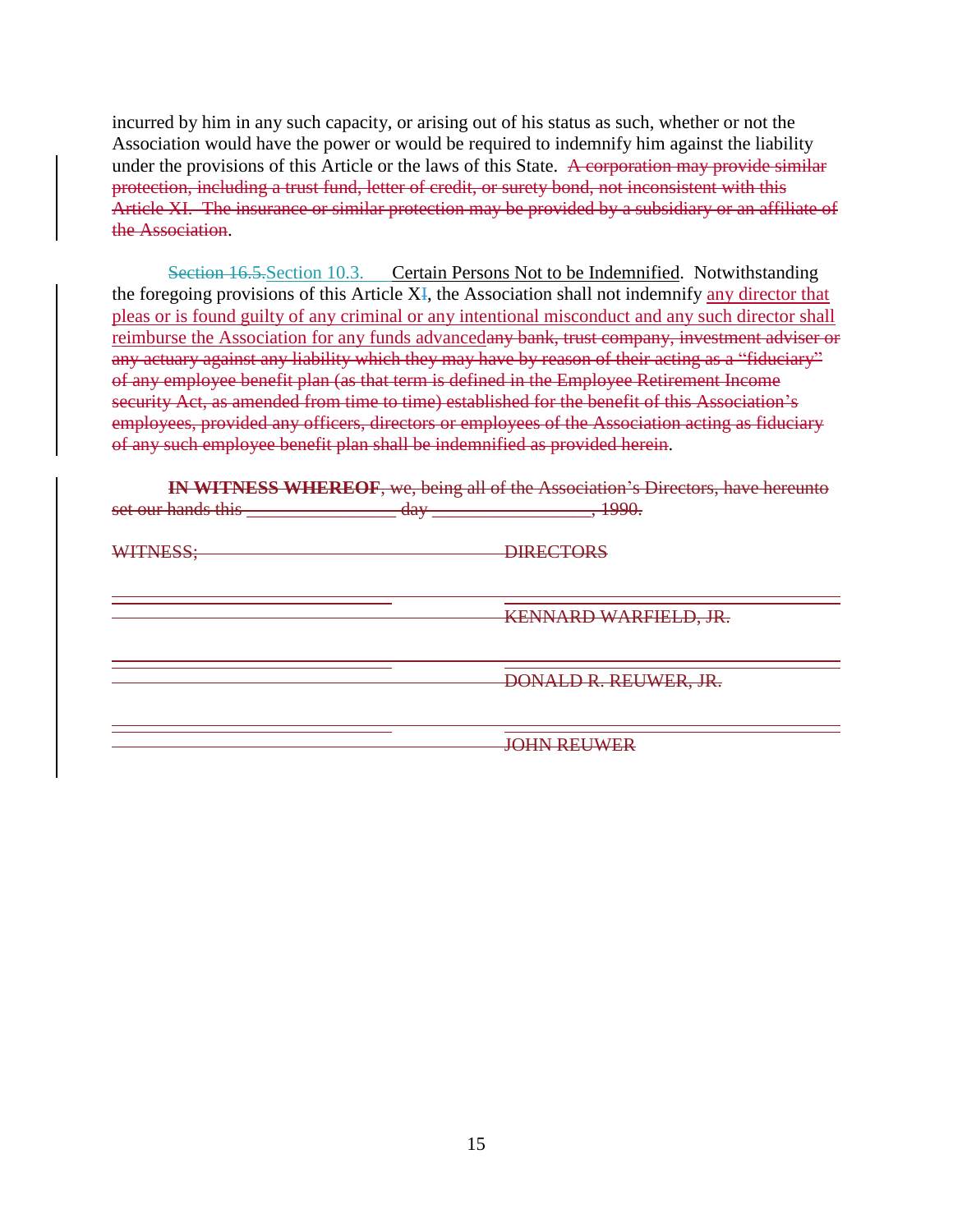incurred by him in any such capacity, or arising out of his status as such, whether or not the Association would have the power or would be required to indemnify him against the liability under the provisions of this Article or the laws of this State. A corporation may provide similar protection, including a trust fund, letter of credit, or surety bond, not inconsistent with this Article XI. The insurance or similar protection may be provided by a subsidiary or an affiliate of the Association.

Section 16.5. Section 10.3. Certain Persons Not to be Indemnified. Notwithstanding the foregoing provisions of this Article XI, the Association shall not indemnify any director that pleas or is found guilty of any criminal or any intentional misconduct and any such director shall reimburse the Association for any funds advancedany bank, trust company, investment adviser or any actuary against any liability which they may have by reason of their acting as a "fiduciary" of any employee benefit plan (as that term is defined in the Employee Retirement Income security Act, as amended from time to time) established for the benefit of this Association's employees, provided any officers, directors or employees of the Association acting as fiduciary of any such employee benefit plan shall be indemnified as provided herein.

**IN WITNESS WHEREOF**, we, being all of the Association's Directors, have hereunto set our hands this \_\_\_\_\_\_\_\_\_\_\_\_\_\_\_\_ day \_\_\_\_\_\_\_\_\_\_\_\_\_\_\_\_\_, 1990.

WITNESS: DIRECTORS

KENNARD WARFIELD, JR.

DONALD R. REUWER, JR.

JOHN REUWER